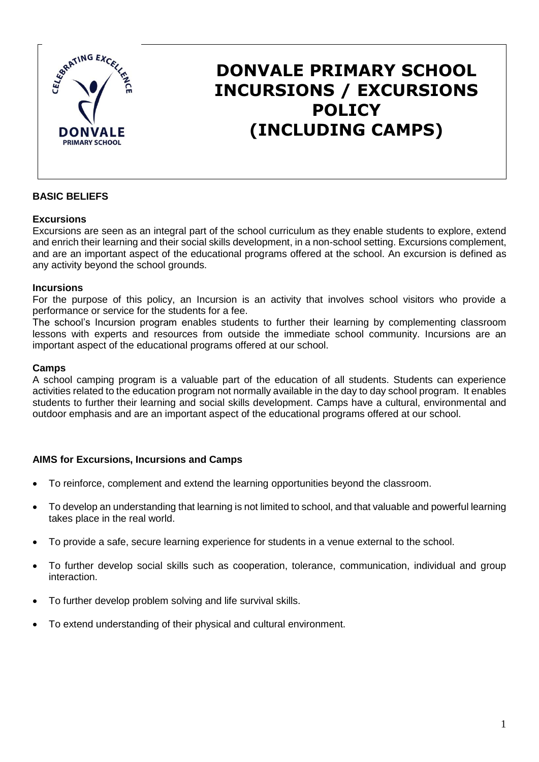

# **DONVALE PRIMARY SCHOOL INCURSIONS / EXCURSIONS POLICY (INCLUDING CAMPS)**

## **BASIC BELIEFS**

#### **Excursions**

Excursions are seen as an integral part of the school curriculum as they enable students to explore, extend and enrich their learning and their social skills development, in a non-school setting. Excursions complement, and are an important aspect of the educational programs offered at the school. An excursion is defined as any activity beyond the school grounds.

#### **Incursions**

For the purpose of this policy, an Incursion is an activity that involves school visitors who provide a performance or service for the students for a fee.

The school's Incursion program enables students to further their learning by complementing classroom lessons with experts and resources from outside the immediate school community. Incursions are an important aspect of the educational programs offered at our school.

#### **Camps**

A school camping program is a valuable part of the education of all students. Students can experience activities related to the education program not normally available in the day to day school program. It enables students to further their learning and social skills development. Camps have a cultural, environmental and outdoor emphasis and are an important aspect of the educational programs offered at our school.

### **AIMS for Excursions, Incursions and Camps**

- To reinforce, complement and extend the learning opportunities beyond the classroom.
- To develop an understanding that learning is not limited to school, and that valuable and powerful learning takes place in the real world.
- To provide a safe, secure learning experience for students in a venue external to the school.
- To further develop social skills such as cooperation, tolerance, communication, individual and group interaction.
- To further develop problem solving and life survival skills.
- To extend understanding of their physical and cultural environment.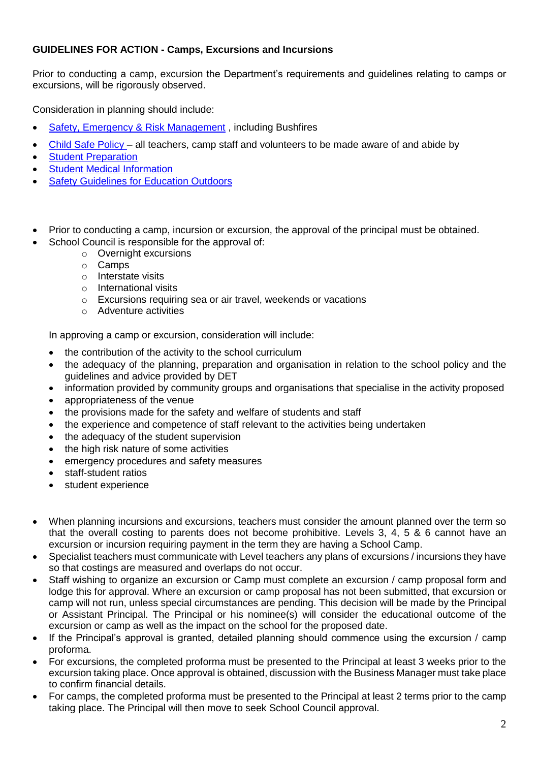### **GUIDELINES FOR ACTION - Camps, Excursions and Incursions**

Prior to conducting a camp, excursion the Department's requirements and guidelines relating to camps or excursions, will be rigorously observed.

Consideration in planning should include:

- [Safety, Emergency & Risk Management](http://www.education.vic.gov.au/school/principals/spag/safety/Pages/excursionsafety.aspx#mainContent) , including Bushfires
- Child Safe Policy all teachers, camp staff and volunteers to be made aware of and abide by
- [Student Preparation](http://www.education.vic.gov.au/school/principals/spag/safety/Pages/preparation.aspx#mainContent)
- [Student Medical Information](http://www.education.vic.gov.au/school/principals/spag/safety/Pages/medicalinfo.aspx#mainContent)
- **[Safety Guidelines for Education Outdoors](http://www.education.vic.gov.au/school/principals/safety/pages/outdoor.aspx#mainContent)**
- Prior to conducting a camp, incursion or excursion, the approval of the principal must be obtained.
- School Council is responsible for the approval of:
	- o Overnight excursions
	- o Camps
	- o Interstate visits
	- o International visits
	- o Excursions requiring sea or air travel, weekends or vacations
	- o Adventure activities

In approving a camp or excursion, consideration will include:

- the contribution of the activity to the school curriculum
- the adequacy of the planning, preparation and organisation in relation to the school policy and the guidelines and advice provided by DET
- information provided by community groups and organisations that specialise in the activity proposed
- appropriateness of the venue
- the provisions made for the safety and welfare of students and staff
- the experience and competence of staff relevant to the activities being undertaken
- the adequacy of the student supervision
- the high risk nature of some activities
- emergency procedures and safety measures
- staff-student ratios
- student experience
- When planning incursions and excursions, teachers must consider the amount planned over the term so that the overall costing to parents does not become prohibitive. Levels 3, 4, 5 & 6 cannot have an excursion or incursion requiring payment in the term they are having a School Camp.
- Specialist teachers must communicate with Level teachers any plans of excursions / incursions they have so that costings are measured and overlaps do not occur.
- Staff wishing to organize an excursion or Camp must complete an excursion / camp proposal form and lodge this for approval. Where an excursion or camp proposal has not been submitted, that excursion or camp will not run, unless special circumstances are pending. This decision will be made by the Principal or Assistant Principal. The Principal or his nominee(s) will consider the educational outcome of the excursion or camp as well as the impact on the school for the proposed date.
- If the Principal's approval is granted, detailed planning should commence using the excursion / camp proforma.
- For excursions, the completed proforma must be presented to the Principal at least 3 weeks prior to the excursion taking place. Once approval is obtained, discussion with the Business Manager must take place to confirm financial details.
- For camps, the completed proforma must be presented to the Principal at least 2 terms prior to the camp taking place. The Principal will then move to seek School Council approval.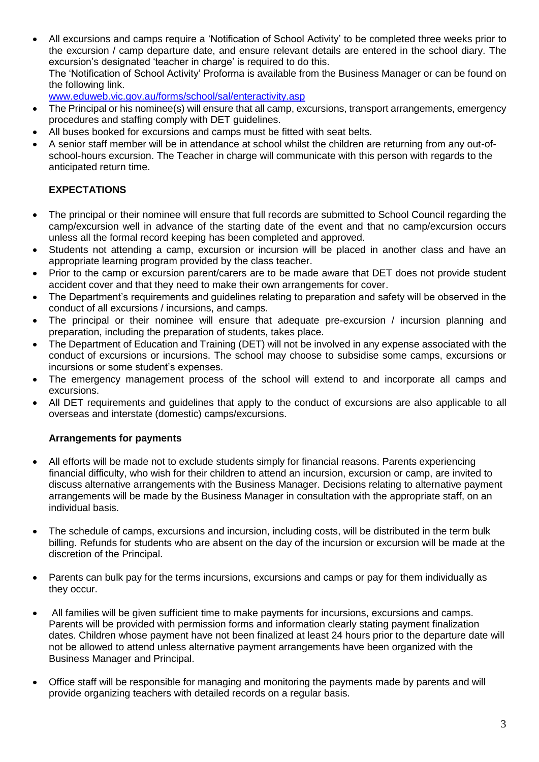All excursions and camps require a 'Notification of School Activity' to be completed three weeks prior to the excursion / camp departure date, and ensure relevant details are entered in the school diary. The excursion's designated 'teacher in charge' is required to do this. The 'Notification of School Activity' Proforma is available from the Business Manager or can be found on the following link.

[www.eduweb.vic.gov.au/forms/school/sal/enteractivity.asp](http://www.eduweb.vic.gov.au/forms/school/sal/enteractivity.asp)

- The Principal or his nominee(s) will ensure that all camp, excursions, transport arrangements, emergency procedures and staffing comply with DET guidelines.
- All buses booked for excursions and camps must be fitted with seat belts.
- A senior staff member will be in attendance at school whilst the children are returning from any out-ofschool-hours excursion. The Teacher in charge will communicate with this person with regards to the anticipated return time.

## **EXPECTATIONS**

- The principal or their nominee will ensure that full records are submitted to School Council regarding the camp/excursion well in advance of the starting date of the event and that no camp/excursion occurs unless all the formal record keeping has been completed and approved.
- Students not attending a camp, excursion or incursion will be placed in another class and have an appropriate learning program provided by the class teacher.
- Prior to the camp or excursion parent/carers are to be made aware that DET does not provide student accident cover and that they need to make their own arrangements for cover.
- The Department's requirements and guidelines relating to preparation and safety will be observed in the conduct of all excursions / incursions, and camps.
- The principal or their nominee will ensure that adequate pre-excursion / incursion planning and preparation, including the preparation of students, takes place.
- The Department of Education and Training (DET) will not be involved in any expense associated with the conduct of excursions or incursions. The school may choose to subsidise some camps, excursions or incursions or some student's expenses.
- The emergency management process of the school will extend to and incorporate all camps and excursions.
- All DET requirements and guidelines that apply to the conduct of excursions are also applicable to all overseas and interstate (domestic) camps/excursions.

### **Arrangements for payments**

- All efforts will be made not to exclude students simply for financial reasons. Parents experiencing financial difficulty, who wish for their children to attend an incursion, excursion or camp, are invited to discuss alternative arrangements with the Business Manager. Decisions relating to alternative payment arrangements will be made by the Business Manager in consultation with the appropriate staff, on an individual basis.
- The schedule of camps, excursions and incursion, including costs, will be distributed in the term bulk billing. Refunds for students who are absent on the day of the incursion or excursion will be made at the discretion of the Principal.
- Parents can bulk pay for the terms incursions, excursions and camps or pay for them individually as they occur.
- All families will be given sufficient time to make payments for incursions, excursions and camps. Parents will be provided with permission forms and information clearly stating payment finalization dates. Children whose payment have not been finalized at least 24 hours prior to the departure date will not be allowed to attend unless alternative payment arrangements have been organized with the Business Manager and Principal.
- Office staff will be responsible for managing and monitoring the payments made by parents and will provide organizing teachers with detailed records on a regular basis.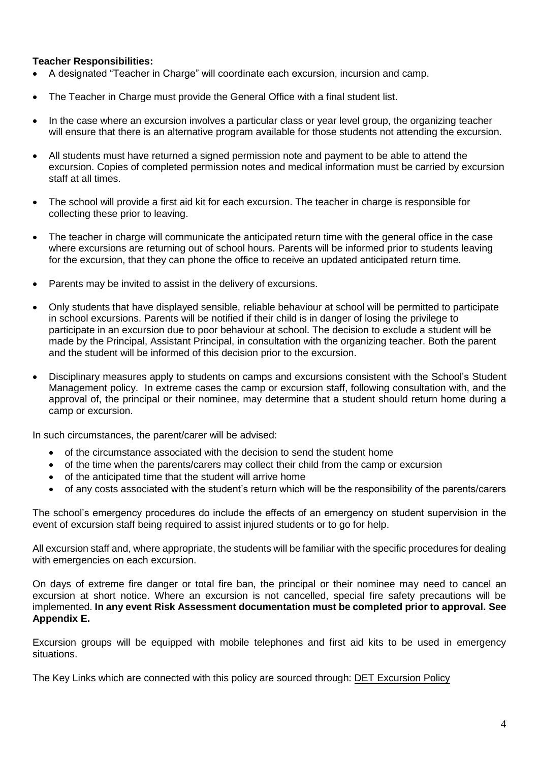#### **Teacher Responsibilities:**

- A designated "Teacher in Charge" will coordinate each excursion, incursion and camp.
- The Teacher in Charge must provide the General Office with a final student list.
- In the case where an excursion involves a particular class or year level group, the organizing teacher will ensure that there is an alternative program available for those students not attending the excursion.
- All students must have returned a signed permission note and payment to be able to attend the excursion. Copies of completed permission notes and medical information must be carried by excursion staff at all times.
- The school will provide a first aid kit for each excursion. The teacher in charge is responsible for collecting these prior to leaving.
- The teacher in charge will communicate the anticipated return time with the general office in the case where excursions are returning out of school hours. Parents will be informed prior to students leaving for the excursion, that they can phone the office to receive an updated anticipated return time.
- Parents may be invited to assist in the delivery of excursions.
- Only students that have displayed sensible, reliable behaviour at school will be permitted to participate in school excursions. Parents will be notified if their child is in danger of losing the privilege to participate in an excursion due to poor behaviour at school. The decision to exclude a student will be made by the Principal, Assistant Principal, in consultation with the organizing teacher. Both the parent and the student will be informed of this decision prior to the excursion.
- Disciplinary measures apply to students on camps and excursions consistent with the School's Student Management policy. In extreme cases the camp or excursion staff, following consultation with, and the approval of, the principal or their nominee, may determine that a student should return home during a camp or excursion.

In such circumstances, the parent/carer will be advised:

- of the circumstance associated with the decision to send the student home
- of the time when the parents/carers may collect their child from the camp or excursion
- of the anticipated time that the student will arrive home
- of any costs associated with the student's return which will be the responsibility of the parents/carers

The school's emergency procedures do include the effects of an emergency on student supervision in the event of excursion staff being required to assist injured students or to go for help.

All excursion staff and, where appropriate, the students will be familiar with the specific procedures for dealing with emergencies on each excursion.

On days of extreme fire danger or total fire ban, the principal or their nominee may need to cancel an excursion at short notice. Where an excursion is not cancelled, special fire safety precautions will be implemented. **In any event Risk Assessment documentation must be completed prior to approval. See Appendix E.**

Excursion groups will be equipped with mobile telephones and first aid kits to be used in emergency situations.

The Key Links which are connected with this policy are sourced through: DET [Excursion Policy](http://www.education.vic.gov.au/school/principals/spag/safety/Pages/excursions.aspx#mainContent)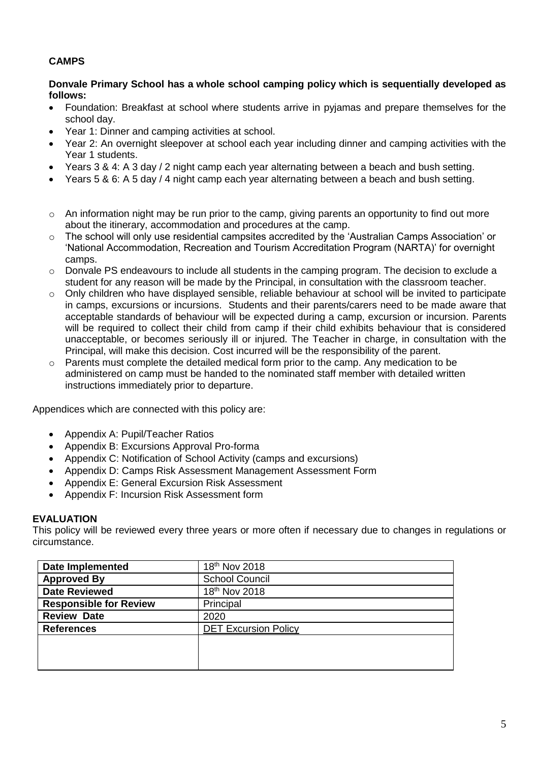## **CAMPS**

#### **Donvale Primary School has a whole school camping policy which is sequentially developed as follows:**

- Foundation: Breakfast at school where students arrive in pyjamas and prepare themselves for the school day.
- Year 1: Dinner and camping activities at school.
- Year 2: An overnight sleepover at school each year including dinner and camping activities with the Year 1 students.
- Years 3 & 4: A 3 day / 2 night camp each year alternating between a beach and bush setting.
- Years 5 & 6: A 5 day / 4 night camp each year alternating between a beach and bush setting.
- $\circ$  An information night may be run prior to the camp, giving parents an opportunity to find out more about the itinerary, accommodation and procedures at the camp.
- o The school will only use residential campsites accredited by the 'Australian Camps Association' or 'National Accommodation, Recreation and Tourism Accreditation Program (NARTA)' for overnight camps.
- $\circ$  Donvale PS endeavours to include all students in the camping program. The decision to exclude a student for any reason will be made by the Principal, in consultation with the classroom teacher.
- o Only children who have displayed sensible, reliable behaviour at school will be invited to participate in camps, excursions or incursions. Students and their parents/carers need to be made aware that acceptable standards of behaviour will be expected during a camp, excursion or incursion. Parents will be required to collect their child from camp if their child exhibits behaviour that is considered unacceptable, or becomes seriously ill or injured. The Teacher in charge, in consultation with the Principal, will make this decision. Cost incurred will be the responsibility of the parent.
- $\circ$  Parents must complete the detailed medical form prior to the camp. Any medication to be administered on camp must be handed to the nominated staff member with detailed written instructions immediately prior to departure.

Appendices which are connected with this policy are:

- Appendix A: Pupil/Teacher Ratios
- Appendix B: Excursions Approval Pro-forma
- Appendix C: Notification of School Activity (camps and excursions)
- Appendix D: Camps Risk Assessment Management Assessment Form
- Appendix E: General Excursion Risk Assessment
- Appendix F: Incursion Risk Assessment form

#### **EVALUATION**

This policy will be reviewed every three years or more often if necessary due to changes in regulations or circumstance.

| <b>Date Implemented</b>       | 18 <sup>th</sup> Nov 2018   |
|-------------------------------|-----------------------------|
| <b>Approved By</b>            | <b>School Council</b>       |
| <b>Date Reviewed</b>          | 18th Nov 2018               |
| <b>Responsible for Review</b> | Principal                   |
| <b>Review Date</b>            | 2020                        |
| <b>References</b>             | <b>DET Excursion Policy</b> |
|                               |                             |
|                               |                             |
|                               |                             |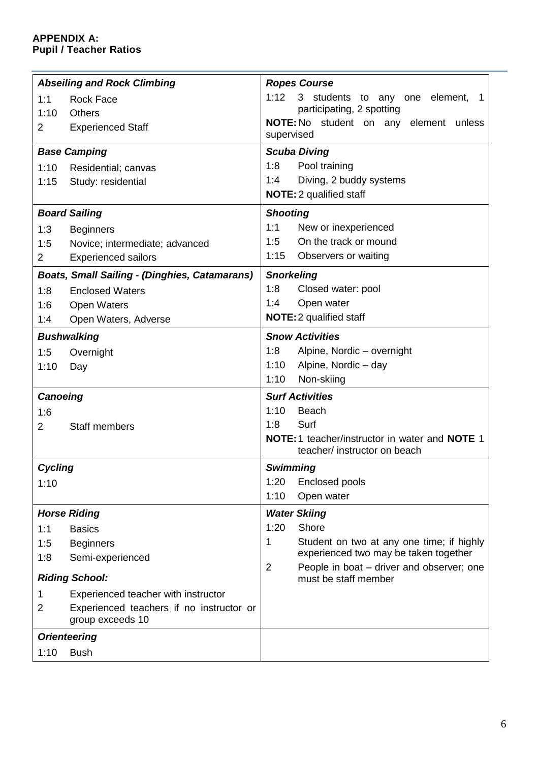## **APPENDIX A: Pupil / Teacher Ratios**

|                 | <b>Abseiling and Rock Climbing</b>                           | <b>Ropes Course</b>                                                                 |
|-----------------|--------------------------------------------------------------|-------------------------------------------------------------------------------------|
| 1:1             | <b>Rock Face</b>                                             | 1:12<br>3 students to any one element,<br>1                                         |
| 1:10            | Others                                                       | participating, 2 spotting                                                           |
| $\overline{2}$  | <b>Experienced Staff</b>                                     | NOTE: No student on any<br>element unless<br>supervised                             |
|                 | <b>Base Camping</b>                                          | <b>Scuba Diving</b>                                                                 |
| 1:10            | Residential; canvas                                          | 1:8<br>Pool training                                                                |
| 1:15            | Study: residential                                           | Diving, 2 buddy systems<br>1:4                                                      |
|                 |                                                              | <b>NOTE:</b> 2 qualified staff                                                      |
|                 | <b>Board Sailing</b>                                         | <b>Shooting</b>                                                                     |
| 1:3             | <b>Beginners</b>                                             | 1:1<br>New or inexperienced                                                         |
| 1:5             | Novice; intermediate; advanced                               | On the track or mound<br>1:5                                                        |
| $\overline{2}$  | <b>Experienced sailors</b>                                   | 1:15<br>Observers or waiting                                                        |
|                 | <b>Boats, Small Sailing - (Dinghies, Catamarans)</b>         | <b>Snorkeling</b>                                                                   |
| 1:8             | <b>Enclosed Waters</b>                                       | 1:8<br>Closed water: pool                                                           |
| 1:6             | <b>Open Waters</b>                                           | Open water<br>1:4                                                                   |
| 1:4             | Open Waters, Adverse                                         | <b>NOTE:</b> 2 qualified staff                                                      |
|                 | <b>Bushwalking</b>                                           | <b>Snow Activities</b>                                                              |
| 1:5             | Overnight                                                    | Alpine, Nordic - overnight<br>1:8                                                   |
| 1:10            | Day                                                          | 1:10<br>Alpine, Nordic - day                                                        |
|                 |                                                              | 1:10<br>Non-skiing                                                                  |
| <b>Canoeing</b> |                                                              | <b>Surf Activities</b>                                                              |
| 1:6             |                                                              | <b>Beach</b><br>1:10                                                                |
| 2               | <b>Staff members</b>                                         | 1:8<br>Surf                                                                         |
|                 |                                                              | NOTE: 1 teacher/instructor in water and NOTE 1<br>teacher/ instructor on beach      |
| Cycling         |                                                              | <b>Swimming</b>                                                                     |
| 1:10            |                                                              | Enclosed pools<br>1:20                                                              |
|                 |                                                              | 1:10<br>Open water                                                                  |
|                 | <b>Horse Riding</b>                                          | <b>Water Skiing</b>                                                                 |
| 1:1             | <b>Basics</b>                                                | Shore<br>1:20                                                                       |
| 1:5             | <b>Beginners</b>                                             | 1<br>Student on two at any one time; if highly                                      |
| 1:8             | Semi-experienced                                             | experienced two may be taken together                                               |
|                 | <b>Riding School:</b>                                        | $\overline{2}$<br>People in boat – driver and observer; one<br>must be staff member |
| 1               | Experienced teacher with instructor                          |                                                                                     |
| 2               | Experienced teachers if no instructor or<br>group exceeds 10 |                                                                                     |
|                 | <b>Orienteering</b>                                          |                                                                                     |
| 1:10            | <b>Bush</b>                                                  |                                                                                     |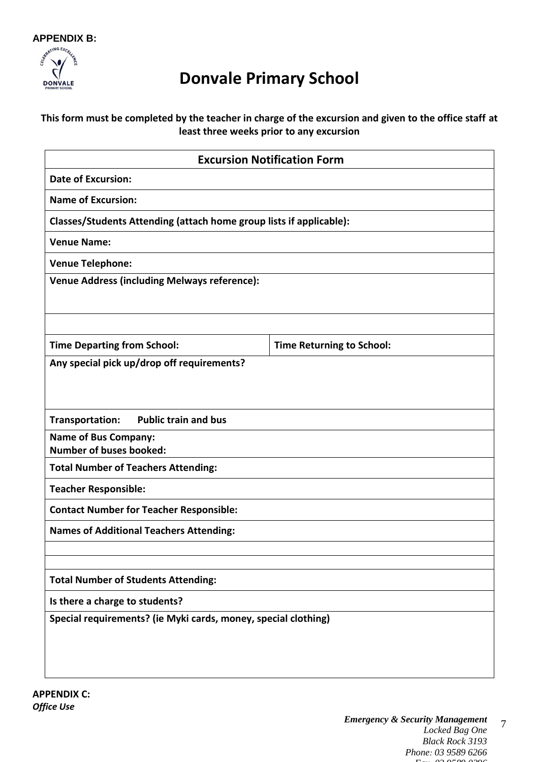

# **Donvale Primary School**

## **This form must be completed by the teacher in charge of the excursion and given to the office staff at least three weeks prior to any excursion**

| <b>Excursion Notification Form</b>                                  |                                  |  |  |
|---------------------------------------------------------------------|----------------------------------|--|--|
| <b>Date of Excursion:</b>                                           |                                  |  |  |
| <b>Name of Excursion:</b>                                           |                                  |  |  |
| Classes/Students Attending (attach home group lists if applicable): |                                  |  |  |
| <b>Venue Name:</b>                                                  |                                  |  |  |
| <b>Venue Telephone:</b>                                             |                                  |  |  |
| <b>Venue Address (including Melways reference):</b>                 |                                  |  |  |
|                                                                     |                                  |  |  |
|                                                                     |                                  |  |  |
| <b>Time Departing from School:</b>                                  | <b>Time Returning to School:</b> |  |  |
| Any special pick up/drop off requirements?                          |                                  |  |  |
|                                                                     |                                  |  |  |
|                                                                     |                                  |  |  |
| <b>Public train and bus</b><br>Transportation:                      |                                  |  |  |
| <b>Name of Bus Company:</b><br><b>Number of buses booked:</b>       |                                  |  |  |
| <b>Total Number of Teachers Attending:</b>                          |                                  |  |  |
| <b>Teacher Responsible:</b>                                         |                                  |  |  |
| <b>Contact Number for Teacher Responsible:</b>                      |                                  |  |  |
| <b>Names of Additional Teachers Attending:</b>                      |                                  |  |  |
|                                                                     |                                  |  |  |
|                                                                     |                                  |  |  |
| <b>Total Number of Students Attending:</b>                          |                                  |  |  |
| Is there a charge to students?                                      |                                  |  |  |
| Special requirements? (ie Myki cards, money, special clothing)      |                                  |  |  |
|                                                                     |                                  |  |  |
|                                                                     |                                  |  |  |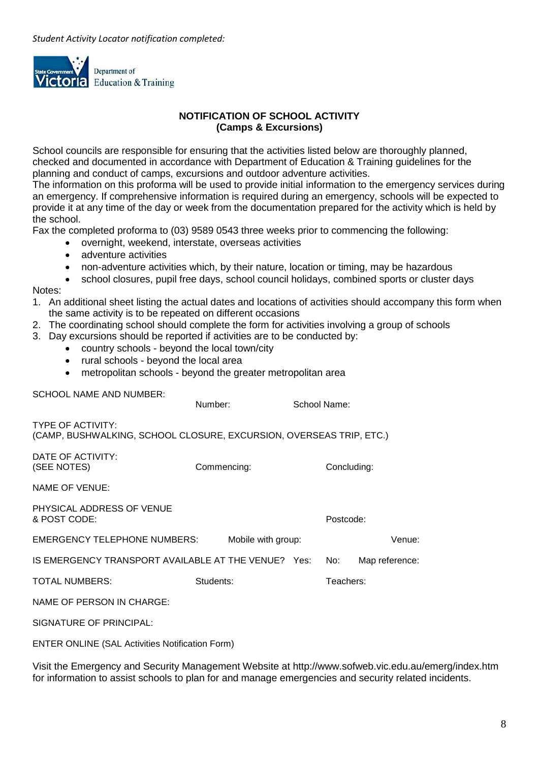

#### **NOTIFICATION OF SCHOOL ACTIVITY (Camps & Excursions)**

School councils are responsible for ensuring that the activities listed below are thoroughly planned, checked and documented in accordance with Department of Education & Training guidelines for the planning and conduct of camps, excursions and outdoor adventure activities.

The information on this proforma will be used to provide initial information to the emergency services during an emergency. If comprehensive information is required during an emergency, schools will be expected to provide it at any time of the day or week from the documentation prepared for the activity which is held by the school.

Fax the completed proforma to (03) 9589 0543 three weeks prior to commencing the following:

- overnight, weekend, interstate, overseas activities
- adventure activities
- non-adventure activities which, by their nature, location or timing, may be hazardous
- school closures, pupil free days, school council holidays, combined sports or cluster days Notes:
- 1. An additional sheet listing the actual dates and locations of activities should accompany this form when the same activity is to be repeated on different occasions
- 2. The coordinating school should complete the form for activities involving a group of schools
- 3. Day excursions should be reported if activities are to be conducted by:
	- country schools beyond the local town/city
	- rural schools beyond the local area
	- metropolitan schools beyond the greater metropolitan area

SCHOOL NAME AND NUMBER:

Number: School Name: (CAMP, BUSHWALKING, SCHOOL CLOSURE, EXCURSION, OVERSEAS TRIP, ETC.) (SEE NOTES) Commencing: Concluding:

NAME OF VENUE:

TYPE OF ACTIVITY:

DATE OF ACTIVITY:

PHYSICAL ADDRESS OF VENUE & POST CODE: Postcode:

EMERGENCY TELEPHONE NUMBERS: Mobile with group: Venue:

| IS EMERGENCY TRANSPORT AVAILABLE AT THE VENUE? Yes: No: |  | Map reference: |
|---------------------------------------------------------|--|----------------|
|---------------------------------------------------------|--|----------------|

TOTAL NUMBERS: Students: Teachers:

NAME OF PERSON IN CHARGE:

SIGNATURE OF PRINCIPAL:

ENTER ONLINE (SAL Activities Notification Form)

Visit the Emergency and Security Management Website at http://www.sofweb.vic.edu.au/emerg/index.htm for information to assist schools to plan for and manage emergencies and security related incidents.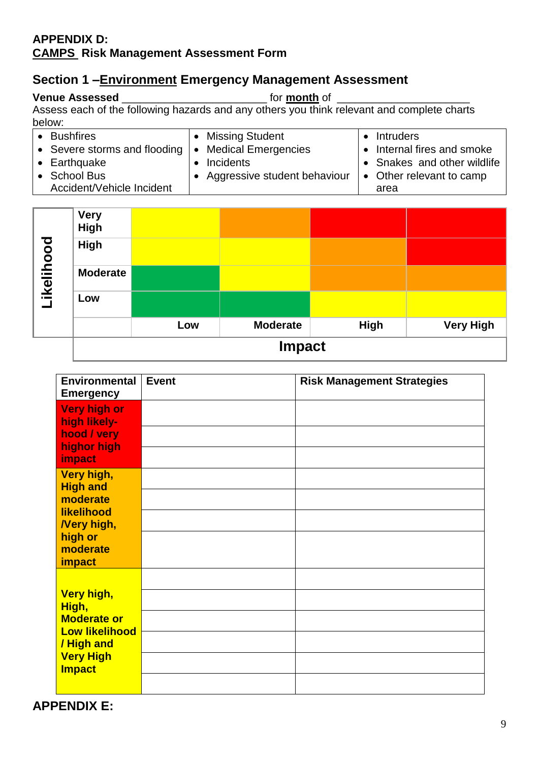# **APPENDIX D: CAMPS Risk Management Assessment Form**

# **Section 1 –Environment Emergency Management Assessment**

# **Venue Assessed** \_\_\_\_\_\_\_\_\_\_\_\_\_\_\_\_\_\_\_\_\_\_\_\_ for **month** of \_\_\_\_\_\_\_\_\_\_\_\_\_\_\_\_\_\_\_\_\_\_

Assess each of the following hazards and any others you think relevant and complete charts below:

| <b>Bushfires</b>             | • Missing Student                       | Intruders                   |
|------------------------------|-----------------------------------------|-----------------------------|
| • Severe storms and flooding | <b>Medical Emergencies</b><br>$\bullet$ | • Internal fires and smoke  |
| $\bullet$ Earthquake         | Incidents                               | • Snakes and other wildlife |
| <b>School Bus</b>            | • Aggressive student behaviour          | • Other relevant to camp    |
| Accident/Vehicle Incident    |                                         | area                        |

| Likelihood | High            |     |                 |      |                  |
|------------|-----------------|-----|-----------------|------|------------------|
|            | <b>Moderate</b> |     |                 |      |                  |
|            | Low             |     |                 |      |                  |
|            |                 | Low | <b>Moderate</b> | High | <b>Very High</b> |
|            | <b>Impact</b>   |     |                 |      |                  |

| Environmental<br><b>Emergency</b>                                                                                     | <b>Event</b> | <b>Risk Management Strategies</b> |
|-----------------------------------------------------------------------------------------------------------------------|--------------|-----------------------------------|
| <b>Very high or</b><br>high likely-<br>hood / very<br>highor high<br>impact                                           |              |                                   |
| Very high,<br><b>High and</b><br>moderate<br>likelihood<br><b>Nery high,</b><br>high or<br>moderate<br><b>impact</b>  |              |                                   |
| Very high,<br>High,<br><b>Moderate or</b><br><b>Low likelihood</b><br>/ High and<br><b>Very High</b><br><b>Impact</b> |              |                                   |

**APPENDIX E:**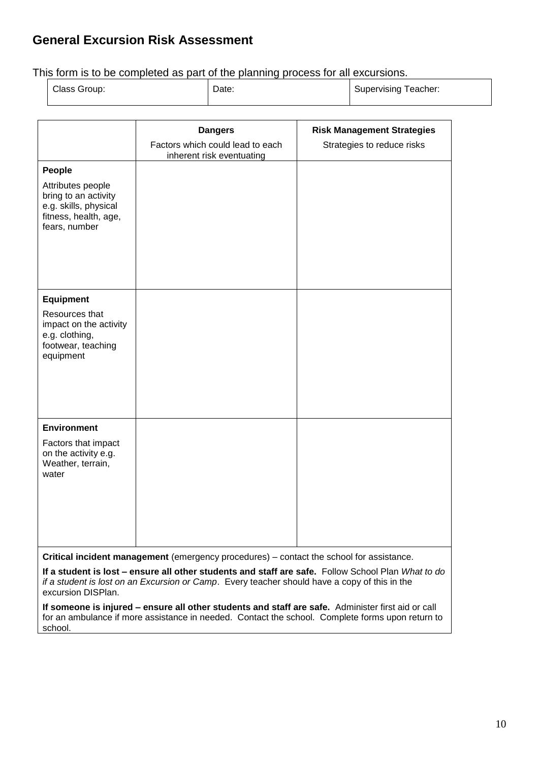# **General Excursion Risk Assessment**

This form is to be completed as part of the planning process for all excursions.

| Class Group: | Date: | Supervising Teacher: |  |
|--------------|-------|----------------------|--|
|              |       |                      |  |

|                                                                                                              | <b>Dangers</b>                                                | <b>Risk Management Strategies</b> |
|--------------------------------------------------------------------------------------------------------------|---------------------------------------------------------------|-----------------------------------|
|                                                                                                              | Factors which could lead to each<br>inherent risk eventuating | Strategies to reduce risks        |
| People                                                                                                       |                                                               |                                   |
| Attributes people<br>bring to an activity<br>e.g. skills, physical<br>fitness, health, age,<br>fears, number |                                                               |                                   |
| <b>Equipment</b>                                                                                             |                                                               |                                   |
| Resources that<br>impact on the activity<br>e.g. clothing,<br>footwear, teaching<br>equipment                |                                                               |                                   |
| <b>Environment</b>                                                                                           |                                                               |                                   |
| Factors that impact<br>on the activity e.g.<br>Weather, terrain,<br>water                                    |                                                               |                                   |

**Critical incident management** (emergency procedures) – contact the school for assistance.

**If a student is lost – ensure all other students and staff are safe.** Follow School Plan *What to do if a student is lost on an Excursion or Camp*. Every teacher should have a copy of this in the excursion DISPlan.

**If someone is injured – ensure all other students and staff are safe.** Administer first aid or call for an ambulance if more assistance in needed. Contact the school. Complete forms upon return to school.